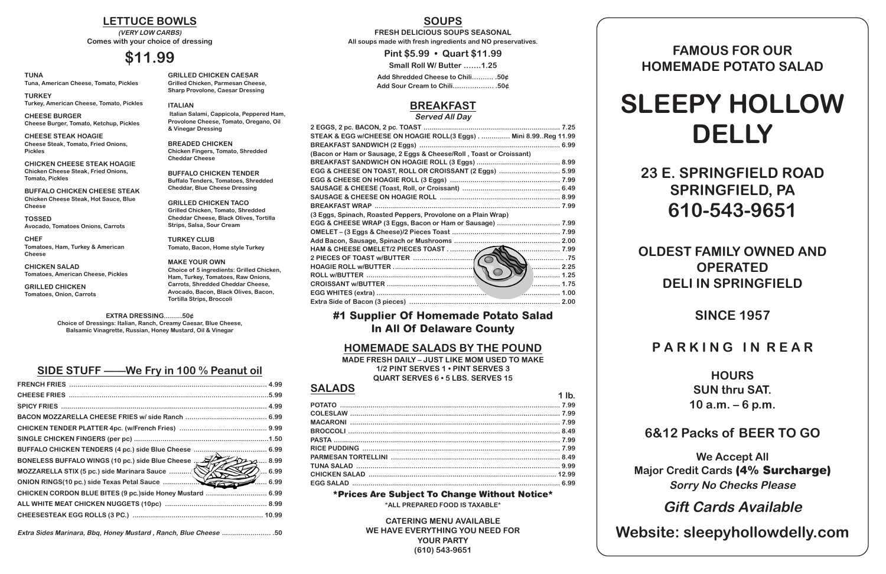**EXTRA DRESSING.........50¢ Choice of Dressings: Italian, Ranch, Creamy Caesar, Blue Cheese, Balsamic Vinagrette, Russian, Honey Mustard, Oil & Vinegar**

# **SIDE STUFF ——We Fry in 100 % Peanut oil**

| BONELESS BUFFALO WINGS (10 pc.) side Blue Cheese  500 minutes  8.99 |                             |
|---------------------------------------------------------------------|-----------------------------|
| MOZZARELLA STIX (5 pc.) side Marinara Sauce (V                      | $\mathscr{D}_\text{2}$ 6.99 |
|                                                                     |                             |
| CHICKEN CORDON BLUE BITES (9 pc.)side Honey Mustard  6.99           |                             |
|                                                                     |                             |
|                                                                     |                             |
|                                                                     |                             |

**Extra Sides Marinara, Bbq, Honey Mustard , Ranch, Blue Cheese ........................ .50**

# **SOUPS**

**FRESH DELICIOUS SOUPS SEASONAL All soups made with fresh ingredients and NO preservatives.**

**Pint \$5.99 • Quart \$11.99**

**Small Roll W/ Butter …….1.25**

**Add Shredded Cheese to Chili………. .50¢ Add Sour Cream to Chili………………. .50¢**

# **BREAKFAST**

#### **Served All Day**

| STEAK & EGG w/CHEESE ON HOAGIE ROLL(3 Eggs) Mini 8.99Reg 11.99      |      |
|---------------------------------------------------------------------|------|
|                                                                     |      |
| (Bacon or Ham or Sausage, 2 Eggs & Cheese/Roll, Toast or Croissant) |      |
|                                                                     |      |
| EGG & CHEESE ON TOAST, ROLL OR CROISSANT (2 Eggs)  5.99             |      |
|                                                                     |      |
|                                                                     |      |
|                                                                     |      |
|                                                                     |      |
| (3 Eggs, Spinach, Roasted Peppers, Provolone on a Plain Wrap)       |      |
|                                                                     |      |
|                                                                     |      |
|                                                                     |      |
| HAM & CHEESE OMELET/2 PIECES TOAST                                  |      |
|                                                                     | . 75 |
|                                                                     |      |
|                                                                     |      |
|                                                                     | 1.75 |
|                                                                     |      |
|                                                                     |      |
|                                                                     |      |

# **#1 Supplier Of Homemade Potato Salad In All Of Delaware County**

# **HOMEMADE SALADS BY THE POUND**

**MADE FRESH DAILY – JUST LIKE MOM USED TO MAKE 1/2 PINT SERVES 1 • PINT SERVES 3 QUART SERVES 6 • 5 LBS. SERVES 15**

| <b>SALADS</b> |         |
|---------------|---------|
|               | $1$ lb. |
|               |         |
|               |         |
|               |         |
|               |         |
|               |         |
|               |         |
|               |         |
|               |         |
|               |         |
|               |         |

#### **\*Prices Are Subject To Change Without Notice\***

**\*ALL PREPARED FOOD IS TAXABLE\***

**CATERING MENU AVAILABLE WE HAVE EVERYTHING YOU NEED FOR YOUR PARTY (610) 543-9651**

# **FAMOUS FOR OUR HOMEMADE POTATO SALAD**

# **SLEEPY HOLLOW DELLY**

**23 E. SPRINGFIELD ROAD SPRINGFIELD, PA 610-543-9651**

**OLDEST FAMILY OWNED AND OPERATED DELI IN SPRINGFIELD**

**SINCE 1957**

**P A R K I N G I N R E A R**

**HOURS SUN thru SAT. 10 a.m. – 6 p.m.**

# **6&12 Packs of BEER TO GO**

**We Accept All Major Credit Cards (4% Surcharge) Sorry No Checks Please**

**Gift Cards Available**

**Website: sleepyhollowdelly.com**

**TUNA Tuna, American Cheese, Tomato, Pickles**

**TURKEY Turkey, American Cheese, Tomato, Pickles**

**CHEESE BURGER Cheese Burger, Tomato, Ketchup, Pickles**

**CHEESE STEAK HOAGIE Cheese Steak, Tomato, Fried Onions, Pickles**

**CHICKEN CHEESE STEAK HOAGIE Chicken Cheese Steak, Fried Onions, Tomato, Pickles**

**BUFFALO CHICKEN CHEESE STEAK Chicken Cheese Steak, Hot Sauce, Blue Cheese**

**TOSSED Avocado, Tomatoes Onions, Carrots**

**CHEF Tomatoes, Ham, Turkey & American Cheese**

**CHICKEN SALAD Tomatoes, American Cheese, Pickles**

**GRILLED CHICKEN Tomatoes, Onion, Carrots**

### **GRILLED CHICKEN CAESAR Grilled Chicken, Parmesan Cheese,**

**Sharp Provolone, Caesar Dressing ITALIAN**

**Italian Salami, Cappicola, Peppered Ham, Provolone Cheese, Tomato, Oregano, Oil & Vinegar Dressing**

**BREADED CHICKEN Chicken Fingers, Tomato, Shredded Cheddar Cheese**

**BUFFALO CHICKEN TENDER Buffalo Tenders, Tomatoes, Shredded Cheddar, Blue Cheese Dressing**

**GRILLED CHICKEN TACO Grilled Chicken, Tomato, Shredded Cheddar Cheese, Black Olives, Tortilla Strips, Salsa, Sour Cream**

**TURKEY CLUB Tomato, Bacon, Home style Turkey**

**MAKE YOUR OWN Choice of 5 ingredients: Grilled Chicken, Ham, Turkey, Tomatoes, Raw Onions, Carrots, Shredded Cheddar Cheese, Avocado, Bacon, Black Olives, Bacon, Tortilla Strips, Broccoli**

### **LETTUCE BOWLS**

**(VERY LOW CARBS) Comes with your choice of dressing**

# **\$11.99**